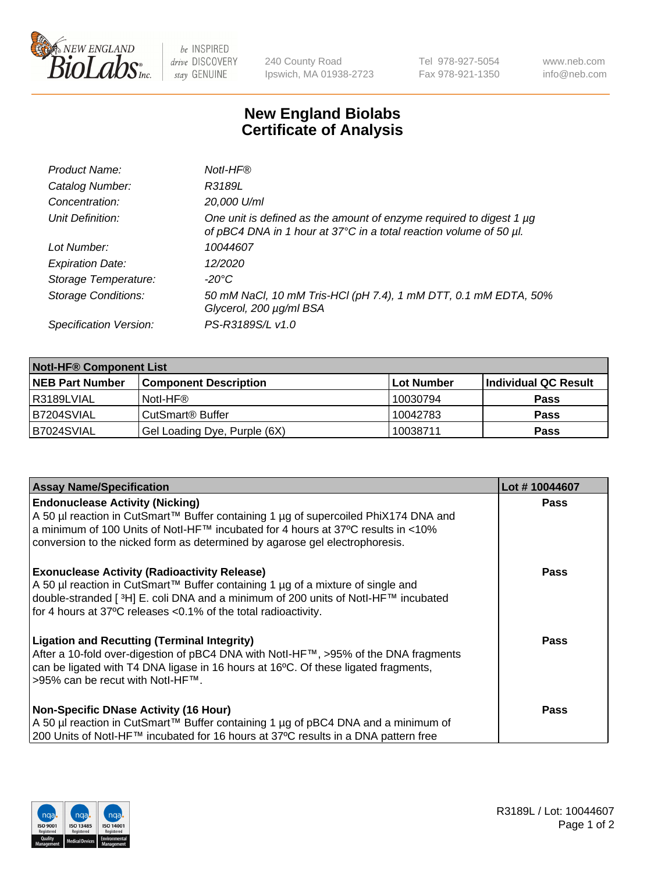

 $be$  INSPIRED drive DISCOVERY stay GENUINE

240 County Road Ipswich, MA 01938-2723 Tel 978-927-5054 Fax 978-921-1350 www.neb.com info@neb.com

## **New England Biolabs Certificate of Analysis**

| Product Name:              | Notl-HF®                                                                                                                                  |
|----------------------------|-------------------------------------------------------------------------------------------------------------------------------------------|
| Catalog Number:            | R3189L                                                                                                                                    |
| Concentration:             | 20,000 U/ml                                                                                                                               |
| Unit Definition:           | One unit is defined as the amount of enzyme required to digest 1 µg<br>of pBC4 DNA in 1 hour at 37°C in a total reaction volume of 50 µl. |
| Lot Number:                | 10044607                                                                                                                                  |
| <b>Expiration Date:</b>    | 12/2020                                                                                                                                   |
| Storage Temperature:       | $-20^{\circ}$ C                                                                                                                           |
| <b>Storage Conditions:</b> | 50 mM NaCl, 10 mM Tris-HCl (pH 7.4), 1 mM DTT, 0.1 mM EDTA, 50%<br>Glycerol, 200 µg/ml BSA                                                |
| Specification Version:     | PS-R3189S/L v1.0                                                                                                                          |

| <b>Notl-HF® Component List</b> |                              |            |                      |  |  |
|--------------------------------|------------------------------|------------|----------------------|--|--|
| <b>NEB Part Number</b>         | <b>Component Description</b> | Lot Number | Individual QC Result |  |  |
| l R3189LVIAL                   | Notl-HF®                     | 10030794   | <b>Pass</b>          |  |  |
| IB7204SVIAL                    | CutSmart <sup>®</sup> Buffer | 10042783   | <b>Pass</b>          |  |  |
| B7024SVIAL                     | Gel Loading Dye, Purple (6X) | 10038711   | <b>Pass</b>          |  |  |

| <b>Assay Name/Specification</b>                                                                                                                                                                                                                                                                              | Lot #10044607 |
|--------------------------------------------------------------------------------------------------------------------------------------------------------------------------------------------------------------------------------------------------------------------------------------------------------------|---------------|
| <b>Endonuclease Activity (Nicking)</b><br>A 50 µl reaction in CutSmart™ Buffer containing 1 µg of supercoiled PhiX174 DNA and                                                                                                                                                                                | <b>Pass</b>   |
| a minimum of 100 Units of Notl-HF™ incubated for 4 hours at 37°C results in <10%<br>conversion to the nicked form as determined by agarose gel electrophoresis.                                                                                                                                              |               |
| <b>Exonuclease Activity (Radioactivity Release)</b><br>  A 50 µl reaction in CutSmart™ Buffer containing 1 µg of a mixture of single and<br>double-stranded [ <sup>3</sup> H] E. coli DNA and a minimum of 200 units of Notl-HF™ incubated<br>for 4 hours at 37°C releases <0.1% of the total radioactivity. | <b>Pass</b>   |
| <b>Ligation and Recutting (Terminal Integrity)</b><br>After a 10-fold over-digestion of pBC4 DNA with Notl-HF™, >95% of the DNA fragments<br>can be ligated with T4 DNA ligase in 16 hours at 16 <sup>o</sup> C. Of these ligated fragments,<br> >95% can be recut with NotI-HF™.                            | Pass          |
| <b>Non-Specific DNase Activity (16 Hour)</b>                                                                                                                                                                                                                                                                 | <b>Pass</b>   |
| A 50 µl reaction in CutSmart™ Buffer containing 1 µg of pBC4 DNA and a minimum of<br>200 Units of Notl-HF™ incubated for 16 hours at 37°C results in a DNA pattern free                                                                                                                                      |               |